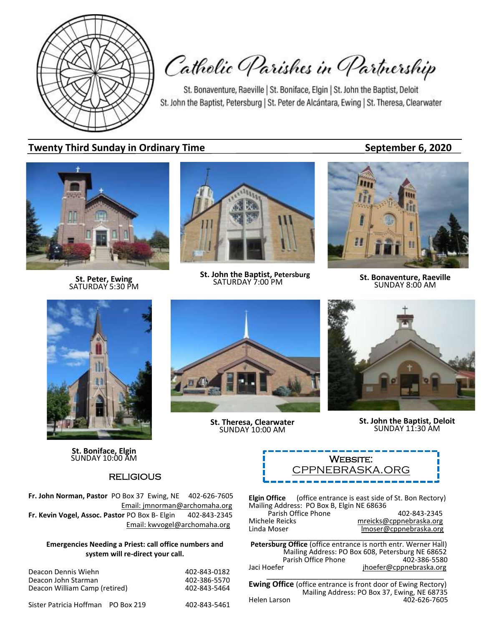

Catholic Parishes in Partnership

St. Bonaventure, Raeville | St. Boniface, Elgin | St. John the Baptist, Deloit St. John the Baptist, Petersburg | St. Peter de Alcántara, Ewing | St. Theresa, Clearwater

## **Twenty Third Sunday in Ordinary Time September 6, 2020**

**St. Peter, Ewing** SATURDAY 5:30 PM



**St. John the Baptist, Petersburg**<br>SATURDAY 7:00 PM



**SATURDAY 7:00 PM St. Bonaventure, Raeville**<br>SATURDAY 7:00 PM **SUNDAY 8:00 AM** 



**St. Boniface, Elgin**

## **RELIGIOUS**

**Fr. John Norman, Pastor** PO Box 37 Ewing, NE 402-626-7605 Email: jmnorman@archomaha.org **Fr. Kevin Vogel, Assoc. Pastor** PO Box B- Elgin 402-843-2345 Email: [kwvogel@archomaha.org](mailto:kwvogel@archomaha.org)

#### **Emergencies Needing a Priest: call office numbers and system will re-direct your call.**

Deacon Dennis Wiehn 1988 1892 1894 1897-843-0182<br>Deacon John Starman 1894 1897-886-5570 Deacon John Starman 1988 (1988)<br>Deacon William Camp (retired) 1988 (1988) 1988-843-5464 Deacon William Camp (retired)

Sister Patricia Hoffman PO Box 219 402-843-5461

**St. Theresa, Clearwater** SUNDAY 10:00 AM



**St. John the Baptist, Deloit** SUNDAY 11:30 AM



**Elgin Office** (office entrance is east side of St. Bon Rectory) Mailing Address: PO Box B, Elgin NE 68636 Parish Office Phone 402-843-2345<br>mreicks@cppnebraska.org metalsone Michele Reicks material metricks@cppnebraska.org<br>Linda Moser material moser@cppnebraska.org lmoser@cppnebraska.org \_\_\_\_\_\_\_\_\_\_\_\_\_\_\_\_\_\_\_\_\_\_\_\_\_\_\_\_\_\_\_\_\_\_\_\_\_\_\_\_\_\_\_\_

**Petersburg Office** (office entrance is north entr. Werner Hall) Mailing Address: PO Box 608, Petersburg NE 68652 Parish Office Phone<br>Jaci Hoefer jhoefer@cppnebraska.org

\_\_\_\_\_\_\_\_\_\_\_\_\_\_\_\_\_\_\_\_\_\_\_\_\_\_\_\_\_\_\_\_\_\_\_\_\_\_\_\_\_ **Ewing Office** (office entrance is front door of Ewing Rectory) Mailing Address: PO Box 37, Ewing, NE 68735<br>Anden Larson 402-626-7605 402-626-7605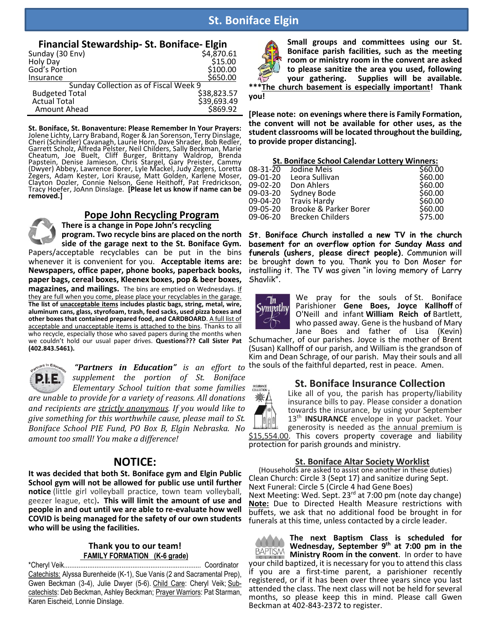# **St. Boniface Elgin**

#### **Financial Stewardship- St. Boniface- Elgin**

| Sunday (30 Env)                       | \$4,870.61  |
|---------------------------------------|-------------|
| Holy Day                              | \$15.00     |
| God's Portion                         | \$100.00    |
| Insurance                             | \$650.00    |
| Sunday Collection as of Fiscal Week 9 |             |
| <b>Budgeted Total</b>                 | \$38,823.57 |
| <b>Actual Total</b>                   | \$39,693.49 |
| Amount Ahead                          | \$869.92    |

**St. Boniface, St. Bonaventure: Please Remember In Your Prayers:** Jolene Lichty, Larry Braband, Roger & Jan Sorenson, Terry Dinslage, Cheri (Schindler) Cavanagh, Laurie Horn, Dave Shrader, Bob Redler, Garrett Scholz, Alfreda Pelster, Neil Childers, Sally Beckman, Marie Cheatum, Joe Buelt, Cliff Burger, Brittany Waldrop, Brenda Papstein, Denise Jamieson, Chris Stargel, Gary Preister, Cammy (Dwyer) Abbey, Lawrence Borer, Lyle Mackel, Judy Zegers, Loretta Zegers, Adam Kester, Lori Krause, Matt Golden, Karlene Moser, Clayton Dozler, Connie Nelson, Gene Heithoff, Pat Fredrickson, Tracy Hoefer, JoAnn Dinslage. **[Please let us know if name can be removed.]**

### **Pope John Recycling Program**

**There is a change in Pope John's recycling program. Two recycle bins are placed on the north side of the garage next to the St. Boniface Gym.**

Papers/acceptable recyclables can be put in the bins whenever it is convenient for you. **Acceptable items are: Newspapers, office paper, phone books, paperback books, paper bags, cereal boxes, Kleenex boxes, pop & beer boxes, magazines, and mailings.** The bins are emptied on Wednesdays. If they are full when you come, please place your recyclables in the garage. **The list of unacceptable items includes plastic bags, string, metal, wire, aluminum cans, glass, styrofoam, trash, feed sacks, used pizza boxes and other boxes that contained prepared food, and CARDBOARD**. A full list of acceptable and unacceptable items is attached to the bins. Thanks to all who recycle, especially those who saved papers during the months when we couldn't hold our usual paper drives. **Questions??? Call Sister Pat (402.843.5461).** 

P. T

*"Partners in Education" is an effort to supplement the portion of St. Boniface Elementary School tuition that some families*

*are unable to provide for a variety of reasons. All donations and recipients are strictly anonymous. If you would like to give something for this worthwhile cause, please mail to St. Boniface School PIE Fund, PO Box B, Elgin Nebraska. No amount too small! You make a difference!*

## **NOTICE:**

**It was decided that both St. Boniface gym and Elgin Public School gym will not be allowed for public use until further notice** (little girl volleyball practice, town team volleyball, geezer league, etc)**. This will limit the amount of use and people in and out until we are able to re-evaluate how well COVID is being managed for the safety of our own students who will be using the facilities.**

#### **Thank you to our team! FAMILY FORMATION (K-6 grade)**

\*Cheryl Veik............................................................................ Coordinator Catechists: Alyssa Burenheide (K-1), Sue Vanis (2 and Sacramental Prep), Gwen Beckman (3-4), Julie Dwyer (5-6). Child Care: Cheryl Veik; Subcatechists: Deb Beckman, Ashley Beckman; Prayer Warriors: Pat Starman, Karen Eischeid, Lonnie Dinslage.



**Small groups and committees using our St. Boniface parish facilities, such as the meeting room or ministry room in the convent are asked to please sanitize the area you used, following your gathering. Supplies will be available.** 

**The church basement is especially important! Thank you!**

**[Please note: on evenings where there is Family Formation, the convent will not be available for other uses, as the student classrooms will be located throughout the building, to provide proper distancing].**

| <b>St. Boniface School Calendar Lottery Winners:</b>     |                                             |  |  |  |
|----------------------------------------------------------|---------------------------------------------|--|--|--|
| Jodine Meis                                              | \$60.00                                     |  |  |  |
| Leora Sullivan                                           | \$60.00                                     |  |  |  |
| Don Ahlers                                               | \$60.00                                     |  |  |  |
| Sydney Bode                                              | \$60.00                                     |  |  |  |
|                                                          | \$60.00                                     |  |  |  |
| Brooke & Parker Borer                                    | \$60.00                                     |  |  |  |
| <b>Brecken Childers</b>                                  | \$75.00                                     |  |  |  |
| 09-02-20<br>09-03-20<br>09-04-20<br>09-05-20<br>09-06-20 | 08-31-20<br>09-01-20<br><b>Travis Hardy</b> |  |  |  |

**St. Boniface Church installed a new TV in the church basement for an overflow option for Sunday Mass and funerals (ushers, please direct people).** Communion will be brought down to you. Thank you to Don Moser for installing it. The TV was given "in loving memory of Larry Shavlik".



We pray for the souls of St. Boniface Parishioner **Gene Boes, Joyce Kallhoff** of O'Neill and infant **William Reich of** Bartlett, who passed away. Gene is the husband of Mary Jane Boes and father of Lisa (Kevin)

Schumacher, of our parishes. Joyce is the mother of Brent (Susan) Kallhoff of our parish, and William is the grandson of Kim and Dean Schrage, of our parish. May their souls and all the souls of the faithful departed, rest in peace. Amen.

#### **St. Boniface Insurance Collection**



Like all of you, the parish has property/liability insurance bills to pay. Please consider a donation towards the insurance, by using your September 13<sup>th</sup> **INSURANCE** envelope in your packet. Your generosity is needed as the annual premium is \$15,554.00. This covers property coverage and liability protection for parish grounds and ministry.

**St. Boniface Altar Society Worklist**

(Households are asked to assist one another in these duties) Clean Church: Circle 3 (Sept 17) and sanitize during Sept. Next Funeral: Circle 5 (Circle 4 had Gene Boes) Next Meeting: Wed. Sept. 23<sup>rd</sup> at 7:00 pm (note day change) **Note:** Due to Directed Health Measure restrictions with buffets, we ask that no additional food be brought in for funerals at this time, unless contacted by a circle leader.

**The next Baptism Class is scheduled for Wednesday, September 9 th at 7:00 pm in the**  BAPTISM **Ministry Room in the convent**. In order to have your child baptized, it is necessary for you to attend this class if you are a first-time parent, a parishioner recently registered, or if it has been over three years since you last attended the class. The next class will not be held for several months, so please keep this in mind. Please call Gwen Beckman at 402-843-2372 to register.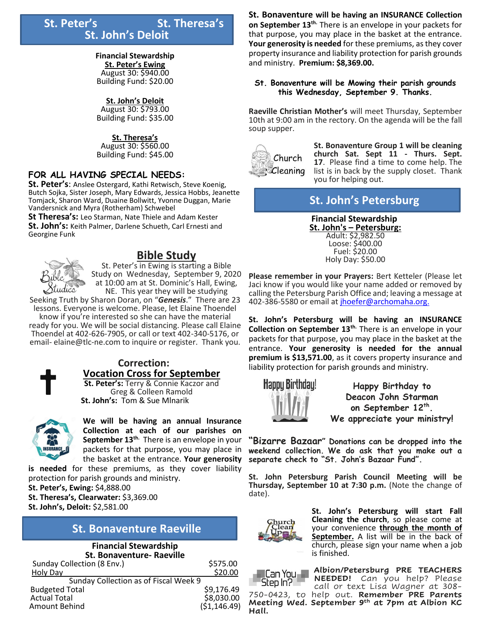# **St. Peter's** St. Theresa's **St. John's Deloit**

#### **Financial Stewardship**

**St. Peter's Ewing**  August 30: \$940.00 Building Fund: \$20.00

#### **St. John's Deloit**

August 30: \$793.00 Building Fund: \$35.00

#### **St. Theresa's**

August 30: \$560.00 Building Fund: \$45.00

### **FOR ALL HAVING SPECIAL NEEDS:**

**St. Peter's**: Anslee Ostergard, Kathi Retwisch, Steve Koenig, Butch Sojka, Sister Joseph, Mary Edwards, Jessica Hobbs, Jeanette Tomjack, Sharon Ward, Duaine Bollwitt, Yvonne Duggan, Marie Vandersnick and Myra (Rotherham) Schwebel

**St Theresa's:** Leo Starman, Nate Thiele and Adam Kester **St. John's:** Keith Palmer, Darlene Schueth, Carl Ernesti and Georgine Funk

# **Bible Study**

St. Peter's in Ewing is starting a Bible Study on Wednesday, September 9, 2020 at 10:00 am at St. Dominic's Hall, Ewing, NE. This year they will be studying

Seeking Truth by Sharon Doran, on "*Genesis*." There are 23 lessons. Everyone is welcome. Please, let Elaine Thoendel

know if you're interested so she can have the material ready for you. We will be social distancing. Please call Elaine Thoendel at 402-626-7905, or call or text 402-340-5176, or email- elaine@tlc-ne.com to inquire or register. Thank you.



# **Correction: Vocation Cross for September**

**St. Peter's:** Terry & Connie Kaczor and Greg & Colleen Ramold **St. John's:** Tom & Sue Mlnarik



**We will be having an annual Insurance Collection at each of our parishes on September 13th.** There is an envelope in your packets for that purpose, you may place in the basket at the entrance. **Your generosity** 

**is needed** for these premiums, as they cover liability protection for parish grounds and ministry. **St. Peter's, Ewing:** \$4,888.00 **St. Theresa's, Clearwater:** \$3,369.00 **St. John's, Deloit:** \$2,581.00

# **St. Bonaventure Raeville**

#### **Financial Stewardship St. Bonaventure- Raeville**

| Sunday Collection (8 Env.)            | \$575.00     |
|---------------------------------------|--------------|
| Holy Day                              | \$20.00      |
| Sunday Collection as of Fiscal Week 9 |              |
| <b>Budgeted Total</b>                 | \$9,176.49   |
| <b>Actual Total</b>                   | \$8,030.00   |
| Amount Behind                         | (51, 146.49) |
|                                       |              |

**St. Bonaventure will be having an INSURANCE Collection on September 13th.** There is an envelope in your packets for that purpose, you may place in the basket at the entrance. **Your generosity is needed** for these premiums, as they cover property insurance and liability protection for parish grounds and ministry. **Premium: \$8,369.00.**

#### **St. Bonaventure will be Mowing their parish grounds this Wednesday, September 9. Thanks.**

**Raeville Christian Mother's** will meet Thursday, September 10th at 9:00 am in the rectory. On the agenda will be the fall soup supper.



**St. Bonaventure Group 1 will be cleaning church Sat. Sept 11 - Thurs. Sept. 17**. Please find a time to come help. The list is in back by the supply closet. Thank you for helping out.

# **St. John's Petersburg**

 **Financial Stewardship St. John's – Petersburg:** Adult: \$2,982.50 Loose: \$400.00 Fuel: \$20.00 Holy Day: \$50.00

**Please remember in your Prayers:** Bert Ketteler (Please let Jaci know if you would like your name added or removed by calling the Petersburg Parish Office and; leaving a message at 402-386-5580 or email a[t jhoefer@archomaha.org.](mailto:jhoefer@archomaha.org)

**St. John's Petersburg will be having an INSURANCE Collection on September 13th.** There is an envelope in your packets for that purpose, you may place in the basket at the entrance. **Your generosity is needed for the annual premium is \$13,571.00**, as it covers property insurance and liability protection for parish grounds and ministry.



**Happy Birthday to Deacon John Starman on September 12th . We appreciate your ministry!**

**"Bizarre Bazaar" Donations can be dropped into the weekend collection. We do ask that you make out a separate check to "St. John's Bazaar Fund".**

**St. John Petersburg Parish Council Meeting will be Thursday, September 10 at 7:30 p.m.** (Note the change of date).



**St. John's Petersburg will start Fall Cleaning the church**, so please come at your convenience **through the month of September.** A list will be in the back of church, please sign your name when a job is finished.



**Hall.** 

**Albion/Petersburg PRE TEACHERS NEEDED!** Can you help? Please call or text Lisa Wagner at 308- 750-0423, to help out. **Remember PRE Parents Meeting Wed. September 9 th at 7pm at Albion KC**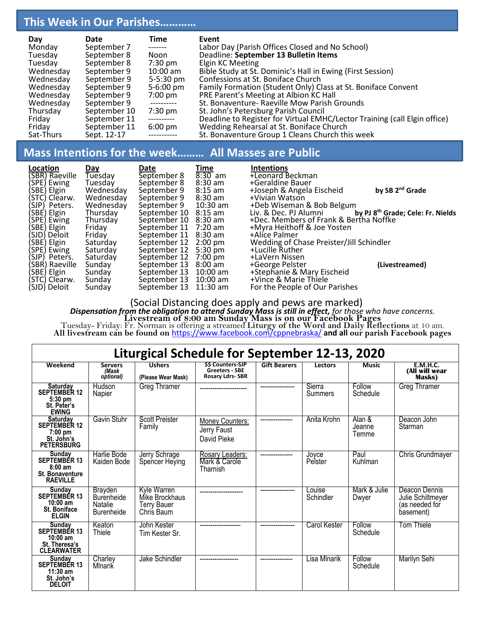# **This Week in Our Parishes…………**

| Day       | Date         | Time                | Event                                                                     |
|-----------|--------------|---------------------|---------------------------------------------------------------------------|
| Monday    | September 7  | -------             | Labor Day (Parish Offices Closed and No School)                           |
| Tuesday   | September 8  | Noon                | Deadline: September 13 Bulletin Items                                     |
| Tuesday   | September 8  | $7:30 \text{ pm}$   | Elgin KC Meeting                                                          |
| Wednesday | September 9  | $10:00$ am          | Bible Study at St. Dominic's Hall in Ewing (First Session)                |
| Wednesday | September 9  | $5-5:30 \text{ pm}$ | Confessions at St. Boniface Church                                        |
| Wednesday | September 9  | $5-6:00 \text{ pm}$ | Family Formation (Student Only) Class at St. Boniface Convent             |
| Wednesday | September 9  | $7:00$ pm           | PRE Parent's Meeting at Albion KC Hall                                    |
| Wednesday | September 9  | -----------         | St. Bonaventure- Raeville Mow Parish Grounds                              |
| Thursday  | September 10 | $7:30 \text{ pm}$   | St. John's Petersburg Parish Council                                      |
| Friday    | September 11 | ----------          | Deadline to Register for Virtual EMHC/Lector Training (call Elgin office) |
| Fridav    | September 11 | $6:00 \text{ pm}$   | Wedding Rehearsal at St. Boniface Church                                  |
| Sat-Thurs | Sept. 12-17  | -----------         | St. Bonaventure Group 1 Cleans Church this week                           |

# **Mass Intentions for the week……… All Masses are Public**

| Location<br>(SBR) Raeville<br>(SPE) Ewing | <u>Day</u><br>Tuesday<br>Tuesday | Date<br>September 8<br>September 8 | Time<br>$8:30$ am<br>$8:30$ am | <b>Intentions</b><br>+Leonard Beckman<br>+Geraldine Bauer |                                               |
|-------------------------------------------|----------------------------------|------------------------------------|--------------------------------|-----------------------------------------------------------|-----------------------------------------------|
| (SBE) Elgin                               | Wednesday                        | September 9                        | $8:15$ am                      | +Joseph & Angela Eischeid                                 | by SB 2 <sup>nd</sup> Grade                   |
| (STC) Clearw.<br>(SJP) Peters.            | Wednesday<br>Wednesday           | September 9<br>September 9         | $8:30$ am<br>10:30 am          | +Vivian Watson<br>+Deb Wiseman & Bob Belgum               |                                               |
| (SBE) Elgin                               | Thursday                         | September 10                       | 8:15 am                        | Liv. & Dec. PJ Alumni                                     | by PJ 8 <sup>th</sup> Grade; Cele: Fr. Nields |
| (SPE) Ewing                               | Thursday                         | September 10                       | 8:30 am                        | +Dec. Members of Frank & Bertha Noffke                    |                                               |
| (SBE) Elgin                               | Friday                           | September 11 7:20 am               |                                | +Myra Heithoff & Joe Yosten                               |                                               |
| (SJD) Deloit                              | Friday                           | September 11 8:30 am               |                                | +Alice Palmer                                             |                                               |
| (SBE) Elgin                               | Saturdav                         | September 12 2:00 pm               |                                | Wedding of Chase Preister/Jill Schindler                  |                                               |
| (SPE) Ewing                               | Saturdav                         | September 12                       | $5:30 \text{ pm}$              | +Lucille Ruther                                           |                                               |
| (SJP) Peters.                             | Saturday                         | September 12                       | 7:00 pm                        | +LaVern Nissen                                            |                                               |
| (SBR) Raeville                            | Sunday                           | September 13                       | $8:00$ am                      | +George Pelster                                           | (Livestreamed)                                |
| (SBE) Elgin                               | Sunday                           | September 13 10:00 am              |                                | +Stephanie & Mary Eischeid                                |                                               |
| (STC) Clearw.                             | Sunday                           | September 13 10:00 am              |                                | +Vince & Marie Thiele                                     |                                               |
| (SJD) Deloit                              | Sunday                           | September 13                       | 11:30 am                       | For the People of Our Parishes                            |                                               |

(Social Distancing does apply and pews are marked) *Dispensation from the obligation to attend Sunday Mass is still in effect, for those who have concerns.* **Livestream of 8:00 am Sunday Mass is on our Facebook Pages** Tuesday- Friday: Fr. Norman is offering a streamed **Liturgy of the Word and Daily Reflections** at 10 am. **All livestream can be found on** <https://www.facebook.com/cppnebraska/> **and all our parish Facebook pages**

| Liturgical Schedule for September 12-13, 2020                                                   |                                                                            |                                                                   |                                                                  |                     |                          |                           |                                                                   |
|-------------------------------------------------------------------------------------------------|----------------------------------------------------------------------------|-------------------------------------------------------------------|------------------------------------------------------------------|---------------------|--------------------------|---------------------------|-------------------------------------------------------------------|
| Weekend                                                                                         | <b>Servers</b><br>(Mask<br>optional)                                       | <b>Ushers</b><br>(Please Wear Mask)                               | <b>SS Counters-SJP</b><br>Greeters SBE<br><b>Rosary Ldrs-SBR</b> | <b>Gift Bearers</b> | Lectors                  | <b>Music</b>              | <b>E.M.H.C.</b><br>(All will wear<br>Masks)                       |
| Saturday<br><b>SEPTEMBER 12</b><br>$5:30$ pm<br>St. Peter's<br><b>EWING</b>                     | Hudson<br>Napier                                                           | Greg Thramer                                                      |                                                                  | ----------------    | Sierra<br><b>Summers</b> | Follow<br>Schedule        | Greg Thramer                                                      |
| <b>Saturday</b><br><b>SEPTEMBER 12</b><br>$7:00$ pm<br>St. John's<br><b>PETERSBURG</b>          | Gavin Stuhr                                                                | Scott Preister<br>Family                                          | Money Counters:<br>Jerry Faust<br>David Pieke                    |                     | Anita Krohn              | Alan &<br>Jeanne<br>Temme | Deacon John<br>Starman                                            |
| Sunday<br><b>SEPTEMBÉR 13</b><br>$8:00 \text{ am}$<br><b>St. Bonaventure</b><br><b>RAEVILLE</b> | Harlie Bode<br>Kaiden Bode                                                 | Jerry Schrage<br>Spencer Heying                                   | Rosary Leaders:<br>Mark & Carole<br>Tharnish                     |                     | Jovce<br>Pelster         | Paul<br>Kuhlman           | <b>Chris Grundmayer</b>                                           |
| Sunday<br>SEPTEMBER 13<br>$10:00$ am<br><b>St. Boniface</b><br><b>ELGIN</b>                     | <b>Brayden</b><br><b>Burenheide</b><br><b>Natalie</b><br><b>Burenheide</b> | Kyle Warren<br>Mike Brockhaus<br><b>Terry Bauer</b><br>Chris Baum |                                                                  |                     | Louise<br>Schindler      | Mark & Julie<br>Dwyer     | Deacon Dennis<br>Julie Schiltmeyer<br>(as needed for<br>basement) |
| <b>Sunday</b><br>SEPTEMBER 13<br>$10:00$ am<br>St. Theresa's<br><b>CLEARWATER</b>               | Keaton<br>Thiele                                                           | John Kester<br>Tim Kester Sr.                                     |                                                                  |                     | Carol Kester             | Follow<br>Schedule        | Tom Thiele                                                        |
| Sunday<br><b>SEPTEMBÉR 13</b><br>$11:30$ am<br>St. John's<br><b>DELOIT</b>                      | Charley<br>Mlnarik                                                         | Jake Schindler                                                    |                                                                  | ---------------     | Lisa Mlnarik             | Follow<br>Schedule        | Marilyn Sehi                                                      |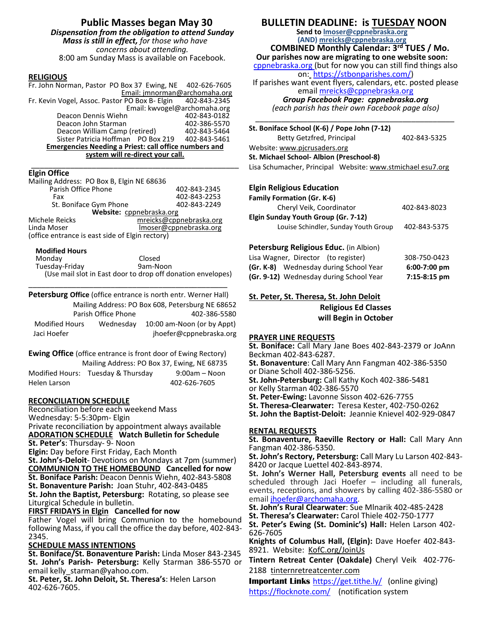#### **RELIGIOUS**

Fr. John Norman, Pastor PO Box 37 Ewing, NE 402-626-7605 Email: jmnorman@archomaha.org<br>r PO Box B- Elgin 402-843-2345 Fr. Kevin Vogel, Assoc. Pastor PO Box B- Elgin Email: kwvogel@archomaha.org Deacon Dennis Wiehn 1982-843-0182<br>Deacon John Starman 1982-386-5570 Deacon John Starman 402-386-5570<br>Deacon William Camp (retired) 402-843-5464 Deacon William Camp (retired) 402-843-5464<br>Sister Patricia Hoffman PO Box 219 402-843-5461 Sister Patricia Hoffman PO Box 219 **Emergencies Needing a Priest: call office numbers and system will re-direct your call.**

#### \_\_\_\_\_\_\_\_\_\_\_\_\_\_\_\_\_\_\_\_\_\_\_\_\_\_\_\_\_\_\_\_\_\_\_\_\_\_\_\_\_\_\_\_\_\_\_\_ **Elgin Office**

| Mailing Address: PO Box B, Elgin NE 68636       |                         |  |  |
|-------------------------------------------------|-------------------------|--|--|
| Parish Office Phone                             | 402-843-2345            |  |  |
| Fax                                             | 402-843-2253            |  |  |
| St. Boniface Gym Phone                          | 402-843-2249            |  |  |
| Website: cppnebraska.org                        |                         |  |  |
| Michele Reicks                                  | mreicks@cppnebraska.org |  |  |
| Linda Moser                                     | Imoser@cppnebraska.org  |  |  |
| (office entrance is east side of Elgin rectory) |                         |  |  |

#### **Modified Hours**

| Monday         | Closed                                                      |
|----------------|-------------------------------------------------------------|
| Tuesday-Friday | 9am-Noon                                                    |
|                | (Use mail slot in East door to drop off donation envelopes) |

\_\_\_\_\_\_\_\_\_\_\_\_\_\_\_\_\_\_\_\_\_\_\_\_\_\_\_\_\_\_\_\_\_\_\_\_\_\_\_\_\_\_\_\_\_\_

**Petersburg Office** (office entrance is north entr. Werner Hall) Mailing Address: PO Box 608, Petersburg NE 68652 Parish Office Phone 402-386-5580 Modified Hours Wednesday 10:00 am-Noon (or by Appt) Jaci Hoefer in the interface in the jhoefer@cppnebraska.org

**Ewing Office** (office entrance is front door of Ewing Rectory) Mailing Address: PO Box 37, Ewing, NE 68735 Modified Hours: Tuesday & Thursday 9:00am – Noon

Helen Larson 402-626-7605

#### **RECONCILIATION SCHEDULE**

Reconciliation before each weekend Mass Wednesday: 5-5:30pm- Elgin Private reconciliation by appointment always available **ADORATION SCHEDULE Watch Bulletin for Schedule St. Peter's**: Thursday- 9- Noon **Elgin:** Day before First Friday, Each Month **St. John's-Deloit**- Devotions on Mondays at 7pm (summer) **COMMUNION TO THE HOMEBOUND Cancelled for now St. Boniface Parish:** Deacon Dennis Wiehn, 402-843-5808 **St. Bonaventure Parish:** Joan Stuhr, 402-843-0485 **St. John the Baptist, Petersburg:** Rotating, so please see Liturgical Schedule in bulletin. **FIRST FRIDAYS in Elgin Cancelled for now** Father Vogel will bring Communion to the homebound following Mass, if you call the office the day before, 402-843- 2345. **SCHEDULE MASS INTENTIONS St. Boniface/St. Bonaventure Parish:** Linda Moser 843-2345

**St. John's Parish- Petersburg:** Kelly Starman 386-5570 or email kelly starman@yahoo.com.

**St. Peter, St. John Deloit, St. Theresa's**: Helen Larson 402-626-7605.

# **BULLETIN DEADLINE: is TUESDAY NOON**

**Send to [lmoser@cppnebraska.org](mailto:lmoser@cppnebraska.org%20%20%20%20%20%20%20%20%20%20%20%20stbonparishes.com)  (AND) mreicks@cppnebraska.org** 

 **COMBINED Monthly Calendar: 3rd TUES / Mo. Our parishes now are migrating to one website soon:** 

cppnebraska.org (but for now you can still find things also on: [https://stbonparishes.com/\)](https://stbonparishes.com/)

If parishes want event flyers, calendars, etc. posted please email [mreicks@cppnebraska.org](mailto:mreicks@cppnebraska.org%20%20%20%20%20%20%20%20%20%20%20%20%20%20%20%20%20%20%20%20%20%20%20stbonparishes.com) 

*Group Facebook Page: cppnebraska.org (each parish has their own Facebook page also)*

*\_\_\_\_\_\_\_\_\_\_\_\_\_\_\_\_\_\_\_\_\_\_\_\_\_\_\_\_\_\_\_\_\_\_\_\_\_\_\_\_\_\_\_\_\_\_* **St. Boniface School (K-6) / Pope John (7-12)**  Betty Getzfred, Principal 402-843-5325 Website: [www.pjcrusaders.org](http://www.pjcrusaders.org/) **St. Michael School- Albion (Preschool-8)** 

## Lisa Schumacher, Principal Website: www.stmichael esu7.org

#### **Elgin Religious Education**

| <b>Family Formation (Gr. K-6)</b>    |              |
|--------------------------------------|--------------|
| Cheryl Veik, Coordinator             | 402-843-8023 |
| Elgin Sunday Youth Group (Gr. 7-12)  |              |
| Louise Schindler, Sunday Youth Group | 402-843-5375 |
|                                      |              |

#### **Petersburg Religious Educ.** (in Albion)

| Lisa Wagner, Director (to register)     | 308-750-0423   |
|-----------------------------------------|----------------|
| (Gr. K-8) Wednesday during School Year  | $6:00-7:00$ pm |
| (Gr. 9-12) Wednesday during School Year | $7:15-8:15$ pm |

### **St. Peter, St. Theresa, St. John Deloit**

**Religious Ed Classes**

**will Begin in October**

#### **PRAYER LINE REQUESTS**

**St. Boniface:** Call Mary Jane Boes 402-843-2379 or JoAnn Beckman 402-843-6287.

**St. Bonaventure**: Call Mary Ann Fangman 402-386-5350 or Diane Scholl 402-386-5256.

**St. John-Petersburg:** Call Kathy Koch 402-386-5481

or Kelly Starman 402-386-5570

**St. Peter-Ewing:** Lavonne Sisson 402-626-7755

**St. Theresa-Clearwater:** Teresa Kester, 402-750-0262

**St. John the Baptist-Deloit:** Jeannie Knievel 402-929-0847

#### **RENTAL REQUESTS**

**St. Bonaventure, Raeville Rectory or Hall:** Call Mary Ann Fangman 402-386-5350.

**St. John's Rectory, Petersburg:** Call Mary Lu Larson 402-843- 8420 or Jacque Luettel 402-843-8974.

**St. John's Werner Hall, Petersburg events** all need to be scheduled through Jaci Hoefer – including all funerals, events, receptions, and showers by calling 402-386-5580 or email [jhoefer@archomaha.org.](mailto:jhoefer@archomaha.org)

**St. John's Rural Clearwater**: Sue Mlnarik 402-485-2428

**St. Theresa's Clearwater:** Carol Thiele 402-750-1777

**St. Peter's Ewing (St. Dominic's) Hall:** Helen Larson 402- 626-7605

**Knights of Columbus Hall, (Elgin):** Dave Hoefer 402-843- 8921. Website: KofC.org/JoinUs

**Tintern Retreat Center (Oakdale)** Cheryl Veik 402-776- 2188 tinternretreatcenter.com

**Important Links** <https://get.tithe.ly/>(online giving) <https://flocknote.com/>(notification system